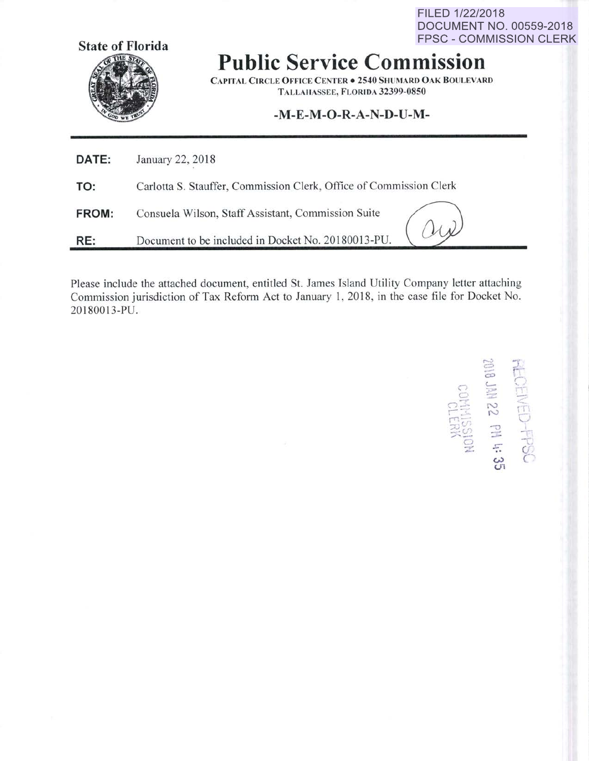FILED 1/22/2018 **DOCUMENT NO. 00559-2018 FPSC - COMMISSION CLERK** 



**Public Service Commission** 

**CAPITAL CIRCLE OFFICE CENTER . 2540 SHUMARD OAK BOULEVARD** TALLAHASSEE, FLORIDA 32399-0850

## -M-E-M-O-R-A-N-D-U-M-

| DATE: | January 22, 2018                                                   |
|-------|--------------------------------------------------------------------|
| TO:   | Carlotta S. Stauffer, Commission Clerk, Office of Commission Clerk |
| FROM: | Consuela Wilson, Staff Assistant, Commission Suite                 |
| RE:   | Document to be included in Docket No. 20180013-PU.                 |

Please include the attached document, entitled St. James Island Utility Company letter attaching Commission jurisdiction of Tax Reform Act to January 1, 2018, in the case file for Docket No. 20180013-PU.

**RECEIVED-FPSC**